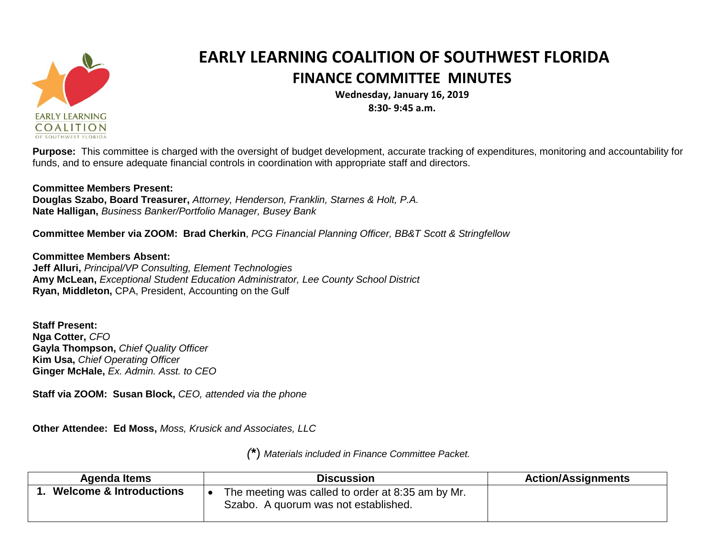

## **EARLY LEARNING COALITION OF SOUTHWEST FLORIDA FINANCE COMMITTEE MINUTES**

**Wednesday, January 16, 2019 8:30- 9:45 a.m.**

**Purpose:** This committee is charged with the oversight of budget development, accurate tracking of expenditures, monitoring and accountability for funds, and to ensure adequate financial controls in coordination with appropriate staff and directors.

## **Committee Members Present:**

**Douglas Szabo, Board Treasurer,** *Attorney, Henderson, Franklin, Starnes & Holt, P.A.* **Nate Halligan,** *Business Banker/Portfolio Manager, Busey Bank*

**Committee Member via ZOOM: Brad Cherkin**, *PCG Financial Planning Officer, BB&T Scott & Stringfellow*

**Committee Members Absent: Jeff Alluri,** *Principal/VP Consulting, Element Technologies* **Amy McLean,** *Exceptional Student Education Administrator, Lee County School District* **Ryan, Middleton,** CPA, President, Accounting on the Gulf

**Staff Present: Nga Cotter,** *CFO* **Gayla Thompson,** *Chief Quality Officer* **Kim Usa,** *Chief Operating Officer* **Ginger McHale,** *Ex. Admin. Asst. to CEO*

**Staff via ZOOM: Susan Block,** *CEO, attended via the phone*

**Other Attendee: Ed Moss,** *Moss, Krusick and Associates, LLC*

*(***\***) *Materials included in Finance Committee Packet.*

| Agenda Items                       | <b>Discussion</b>                                                                         | <b>Action/Assignments</b> |
|------------------------------------|-------------------------------------------------------------------------------------------|---------------------------|
| <b>Welcome &amp; Introductions</b> | The meeting was called to order at 8:35 am by Mr.<br>Szabo. A quorum was not established. |                           |